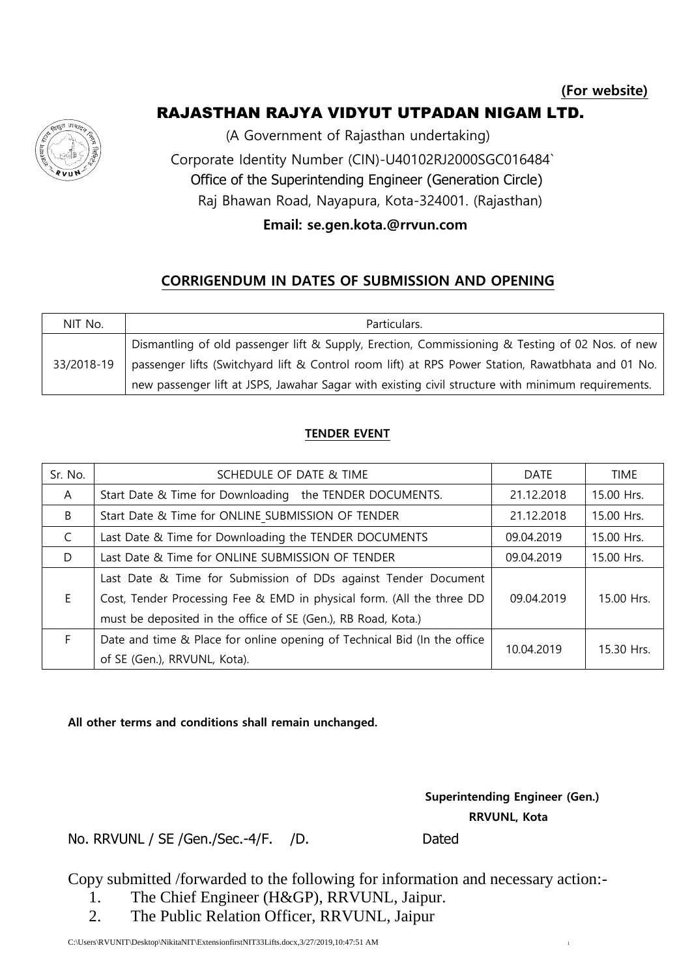# RAJASTHAN RAJYA VIDYUT UTPADAN NIGAM LTD.



(A Government of Rajasthan undertaking) Corporate Identity Number (CIN)-U40102RJ2000SGC016484` Office of the Superintending Engineer (Generation Circle) Raj Bhawan Road, Nayapura, Kota-324001. (Rajasthan)

### **Email: se.gen.kota.@rrvun.com**

## **CORRIGENDUM IN DATES OF SUBMISSION AND OPENING**

| NIT No.    | Particulars.                                                                                       |  |  |
|------------|----------------------------------------------------------------------------------------------------|--|--|
| 33/2018-19 | Dismantling of old passenger lift & Supply, Erection, Commissioning & Testing of 02 Nos. of new    |  |  |
|            | passenger lifts (Switchyard lift & Control room lift) at RPS Power Station, Rawatbhata and 01 No.  |  |  |
|            | new passenger lift at JSPS, Jawahar Sagar with existing civil structure with minimum requirements. |  |  |

### **TENDER EVENT**

| Sr. No.      | SCHEDULE OF DATE & TIME                                                  | <b>DATE</b> | <b>TIME</b> |
|--------------|--------------------------------------------------------------------------|-------------|-------------|
| $\mathsf{A}$ | Start Date & Time for Downloading the TENDER DOCUMENTS.                  | 21.12.2018  | 15.00 Hrs.  |
| B            | Start Date & Time for ONLINE SUBMISSION OF TENDER                        | 21.12.2018  | 15.00 Hrs.  |
| C            | Last Date & Time for Downloading the TENDER DOCUMENTS                    | 09.04.2019  | 15.00 Hrs.  |
| D            | Last Date & Time for ONLINE SUBMISSION OF TENDER                         | 09.04.2019  | 15.00 Hrs.  |
|              | Last Date & Time for Submission of DDs against Tender Document           |             |             |
| E.           | Cost, Tender Processing Fee & EMD in physical form. (All the three DD    | 09.04.2019  | 15.00 Hrs.  |
|              | must be deposited in the office of SE (Gen.), RB Road, Kota.)            |             |             |
| F            | Date and time & Place for online opening of Technical Bid (In the office | 10.04.2019  | 15.30 Hrs.  |
|              | of SE (Gen.), RRVUNL, Kota).                                             |             |             |

#### **All other terms and conditions shall remain unchanged.**

 **Superintending Engineer (Gen.) RRVUNL, Kota**

No. RRVUNL / SE / Gen./Sec.-4/F. / D. Dated

Copy submitted /forwarded to the following for information and necessary action:-

- 1. The Chief Engineer (H&GP), RRVUNL, Jaipur.
- 2. The Public Relation Officer, RRVUNL, Jaipur